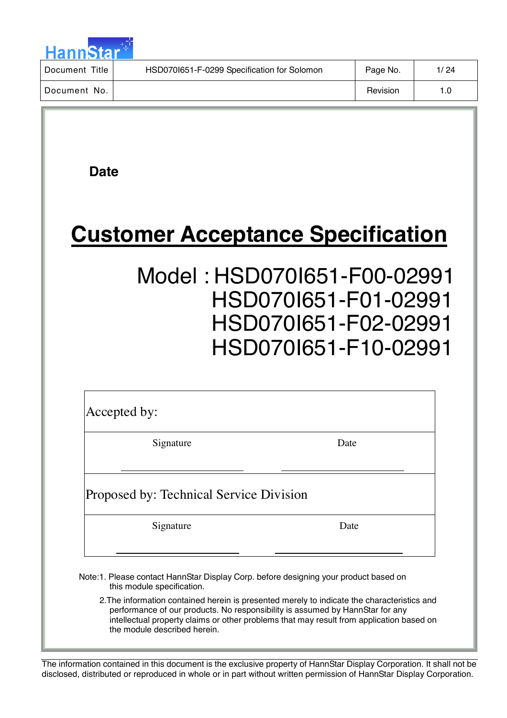

| Title<br>Document | HSD070I651-F-0299 Specification for Solomon | Page No. | 1/ 24 |
|-------------------|---------------------------------------------|----------|-------|
| Document No.      |                                             | Revision | 1.0   |

 **Date**

# **Customer Acceptance Specification**

## Model : HSD070I651-F00-02991 HSD070I651-F01-02991 HSD070I651-F02-02991 HSD070I651-F10-02991

Accepted by:

Signature Date

## Proposed by: Technical Service Division

Signature Date

Note:1. Please contact HannStar Display Corp. before designing your product based on this module specification.

2.The information contained herein is presented merely to indicate the characteristics and performance of our products. No responsibility is assumed by HannStar for any intellectual property claims or other problems that may result from application based on the module described herein.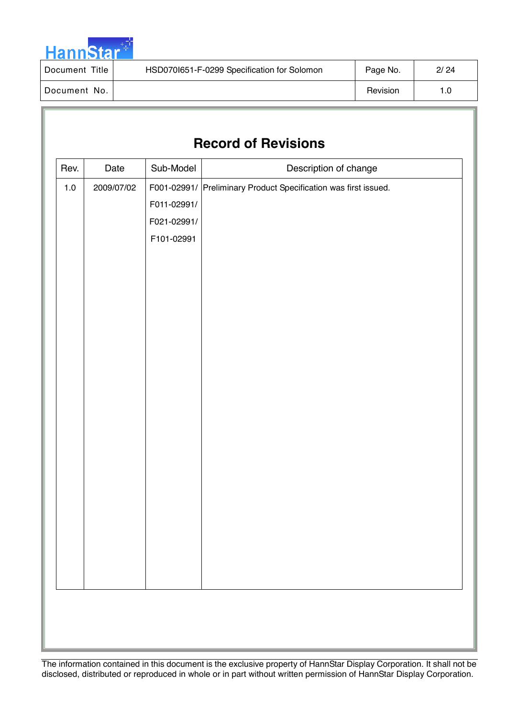

| Title<br>Document | HSD070I651-F-0299 Specification for Solomon | Page No. | 2/24 |
|-------------------|---------------------------------------------|----------|------|
| Document No.      |                                             | Revision | 1.0  |

## **Record of Revisions**

| Rev.    | Date       | Sub-Model   | Description of change                                           |
|---------|------------|-------------|-----------------------------------------------------------------|
| $1.0\,$ | 2009/07/02 |             | F001-02991/ Preliminary Product Specification was first issued. |
|         |            | F011-02991/ |                                                                 |
|         |            | F021-02991/ |                                                                 |
|         |            | F101-02991  |                                                                 |
|         |            |             |                                                                 |
|         |            |             |                                                                 |
|         |            |             |                                                                 |
|         |            |             |                                                                 |
|         |            |             |                                                                 |
|         |            |             |                                                                 |
|         |            |             |                                                                 |
|         |            |             |                                                                 |
|         |            |             |                                                                 |
|         |            |             |                                                                 |
|         |            |             |                                                                 |
|         |            |             |                                                                 |
|         |            |             |                                                                 |
|         |            |             |                                                                 |
|         |            |             |                                                                 |
|         |            |             |                                                                 |
|         |            |             |                                                                 |
|         |            |             |                                                                 |
|         |            |             |                                                                 |
|         |            |             |                                                                 |
|         |            |             |                                                                 |
|         |            |             |                                                                 |
|         |            |             |                                                                 |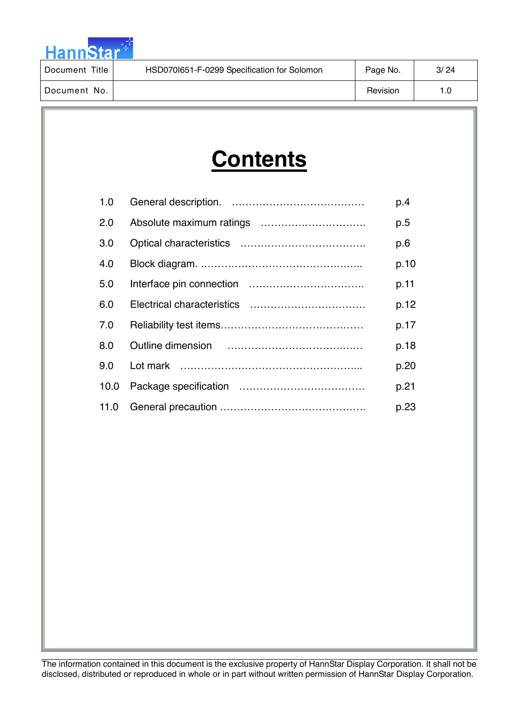

| Document Title | HSD070I651-F-0299 Specification for Solomon | Page No. | 3/24 |
|----------------|---------------------------------------------|----------|------|
| l Document No. |                                             | Revision | 1.0  |

# **Contents**

| 1.0  | p.4  |
|------|------|
| 2.0  | p.5  |
| 3.0  | p.6  |
| 4.0  | p.10 |
| 5.0  | p.11 |
| 6.0  | p.12 |
| 7.0  | p.17 |
| 8.0  | p.18 |
| 9.0  | p.20 |
| 10.0 | p.21 |
| 11.0 | p.23 |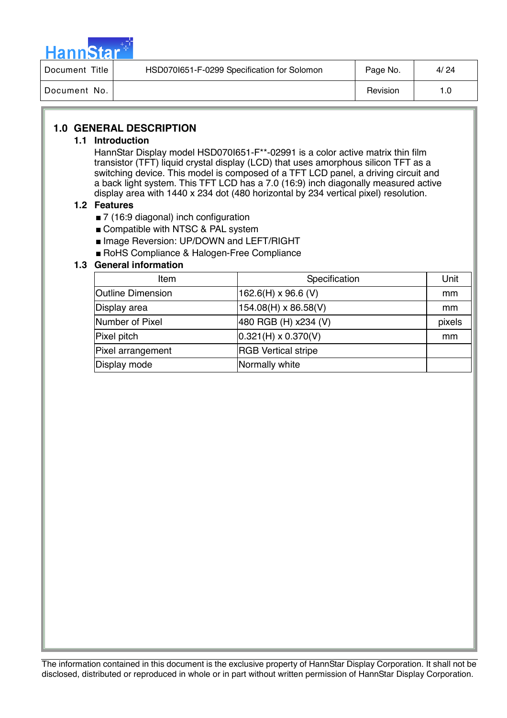

| Document Title | HSD0701651-F-0299 Specification for Solomon | Page No. | 4/ 24 |
|----------------|---------------------------------------------|----------|-------|
| Document No.   |                                             | Revision | 1.0   |

## **1.0 GENERAL DESCRIPTION**

### **1.1 Introduction**

HannStar Display model HSD070I651-F\*\*-02991 is a color active matrix thin film transistor (TFT) liquid crystal display (LCD) that uses amorphous silicon TFT as a switching device. This model is composed of a TFT LCD panel, a driving circuit and a back light system. This TFT LCD has a 7.0 (16:9) inch diagonally measured active display area with 1440 x 234 dot (480 horizontal by 234 vertical pixel) resolution.

## **1.2 Features**

- 7 (16:9 diagonal) inch configuration
- Compatible with NTSC & PAL system
- **Image Reversion: UP/DOWN and LEFT/RIGHT**
- RoHS Compliance & Halogen-Free Compliance

## **1.3 General information**

| Item                     | Specification              | Unit   |
|--------------------------|----------------------------|--------|
| <b>Outline Dimension</b> | 162.6(H) $\times$ 96.6 (V) | mm     |
| Display area             | 154.08(H) x 86.58(V)       | mm     |
| Number of Pixel          | 480 RGB (H) x234 (V)       | pixels |
| Pixel pitch              | $0.321(H) \times 0.370(V)$ | mm     |
| Pixel arrangement        | <b>RGB Vertical stripe</b> |        |
| Display mode             | Normally white             |        |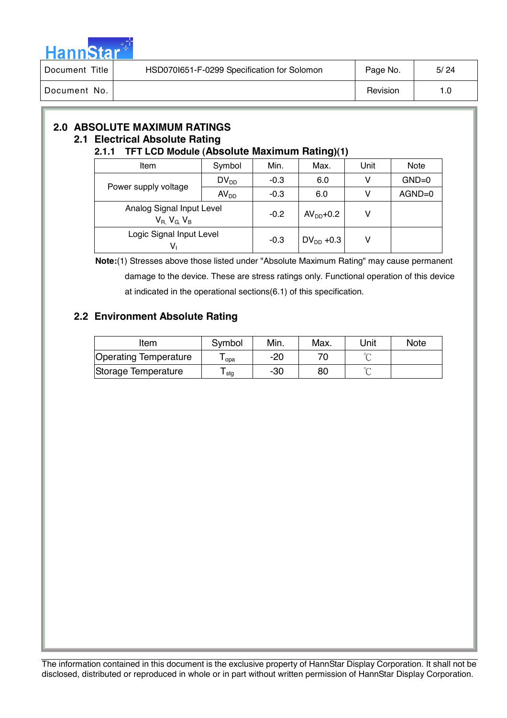

| Title<br>Document | HSD070I651-F-0299 Specification for Solomon | Page No. | 5/24 |
|-------------------|---------------------------------------------|----------|------|
| Document No.      |                                             | Revision | 1.0  |

## **2.0 ABSOLUTE MAXIMUM RATINGS 2.1 Electrical Absolute Rating**

## **2.1.1 TFT LCD Module (Absolute Maximum Rating)(1)**

| Item                                                     | Symbol           | Min.   | Max.           | Unit | <b>Note</b> |
|----------------------------------------------------------|------------------|--------|----------------|------|-------------|
|                                                          | $DV_{DD}$        | $-0.3$ | 6.0            | v    | $GND=0$     |
| Power supply voltage                                     | AV <sub>DD</sub> | $-0.3$ | 6.0            | v    | $AGND=0$    |
| Analog Signal Input Level<br>$V_{R}$ , $V_{G}$ , $V_{B}$ |                  | $-0.2$ | $AVDD+0.2$     | v    |             |
| Logic Signal Input Level<br>V,                           |                  | $-0.3$ | $DV_{DD}$ +0.3 | v    |             |

 **Note:**(1) Stresses above those listed under "Absolute Maximum Rating" may cause permanent damage to the device. These are stress ratings only. Functional operation of this device at indicated in the operational sections(6.1) of this specification.

## **2.2 Environment Absolute Rating**

| Item                         | Symbol | Min. | Max. | Unit   | <b>Note</b> |
|------------------------------|--------|------|------|--------|-------------|
| <b>Operating Temperature</b> | opa    | -20  |      |        |             |
| Storage Temperature          | stg    | -30  | 80   | $\sim$ |             |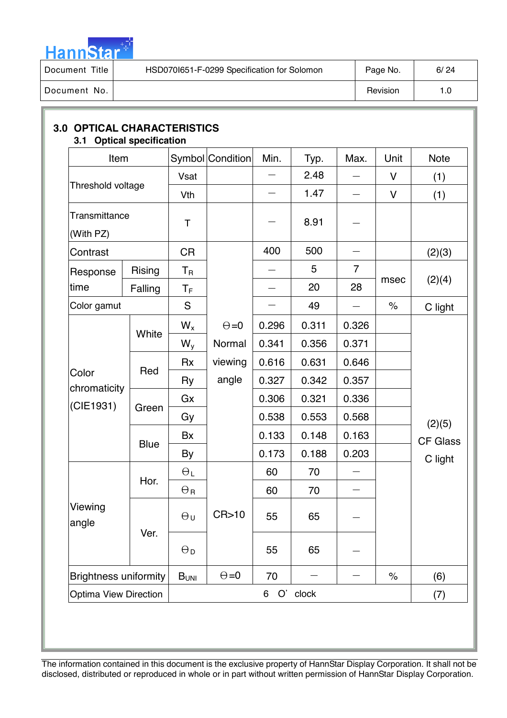

| Title<br>Document | HSD0701651-F-0299 Specification for Solomon | Page No. | 6/24 |
|-------------------|---------------------------------------------|----------|------|
| Document No.      |                                             | Revision | ' 0. |

| Item                         |              |                           | Symbol Condition | Min.  | Typ.     | Max.           | Unit         | <b>Note</b>     |
|------------------------------|--------------|---------------------------|------------------|-------|----------|----------------|--------------|-----------------|
|                              |              | Vsat                      |                  |       | 2.48     |                | V            | (1)             |
| Threshold voltage            |              | Vth                       |                  |       | 1.47     |                | $\mathsf{V}$ | (1)             |
| Transmittance<br>(With PZ)   |              | Τ                         |                  |       | 8.91     |                |              |                 |
| Contrast                     |              | <b>CR</b>                 |                  | 400   | 500      |                |              | (2)(3)          |
| Response                     | Rising       | $\mathsf{T}_{\mathsf{R}}$ |                  |       | 5        | $\overline{7}$ |              |                 |
| time                         | Falling      | $T_F$                     |                  |       | 20       | 28             | msec         | (2)(4)          |
| Color gamut                  |              | S                         |                  |       | 49       |                | $\%$         | C light         |
|                              | White        | $W_{x}$                   | $\Theta = 0$     | 0.296 | 0.311    | 0.326          |              |                 |
|                              |              | $W_{y}$                   | Normal           | 0.341 | 0.356    | 0.371          |              |                 |
|                              | Red<br>Green | <b>Rx</b>                 | viewing          | 0.616 | 0.631    | 0.646          |              |                 |
| Color<br>chromaticity        |              | Ry                        | angle            | 0.327 | 0.342    | 0.357          |              |                 |
| (CIE1931)                    |              | Gx                        |                  | 0.306 | 0.321    | 0.336          |              |                 |
|                              |              | Gy                        |                  | 0.538 | 0.553    | 0.568          |              | (2)(5)          |
|                              |              | Bx                        |                  | 0.133 | 0.148    | 0.163          |              | <b>CF Glass</b> |
|                              | <b>Blue</b>  | By                        |                  | 0.173 | 0.188    | 0.203          |              | C light         |
|                              | Hor.         | $\Theta_L$                |                  | 60    | 70       |                |              |                 |
| Viewing<br>angle             |              | $\Theta_{\mathsf{R}}$     |                  | 60    | 70       |                |              |                 |
|                              |              | $\Theta$ u                | CR>10            | 55    | 65       |                |              |                 |
|                              | Ver.         | $\Theta_{\mathsf{D}}$     |                  | 55    | 65       |                |              |                 |
| <b>Brightness uniformity</b> |              | B <sub>UNI</sub>          | $\Theta = 0$     | 70    |          |                | $\%$         | (6)             |
| <b>Optima View Direction</b> |              |                           |                  | 6     | O' clock |                |              | (7)             |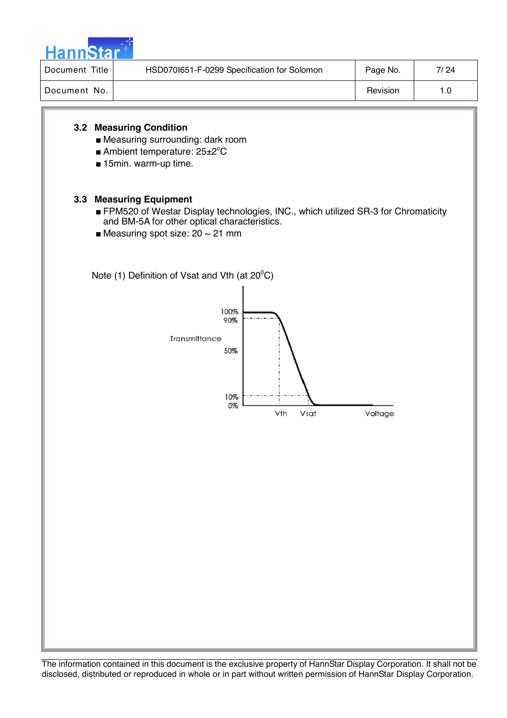

| Document Title | HSD070I651-F-0299 Specification for Solomon | Page No. | 7/ 24 |
|----------------|---------------------------------------------|----------|-------|
| Document No.   |                                             | Revision | 1.0   |

## **3.2 Measuring Condition**

- Measuring surrounding: dark room
- Ambient temperature: 25±2°C
- 15min. warm-up time.

## **3.3 Measuring Equipment**

- FPM520 of Westar Display technologies, INC., which utilized SR-3 for Chromaticity and BM-5A for other optical characteristics.
- $\blacksquare$  Measuring spot size: 20 ~ 21 mm

Note (1) Definition of Vsat and Vth (at 20 $^0$ C)

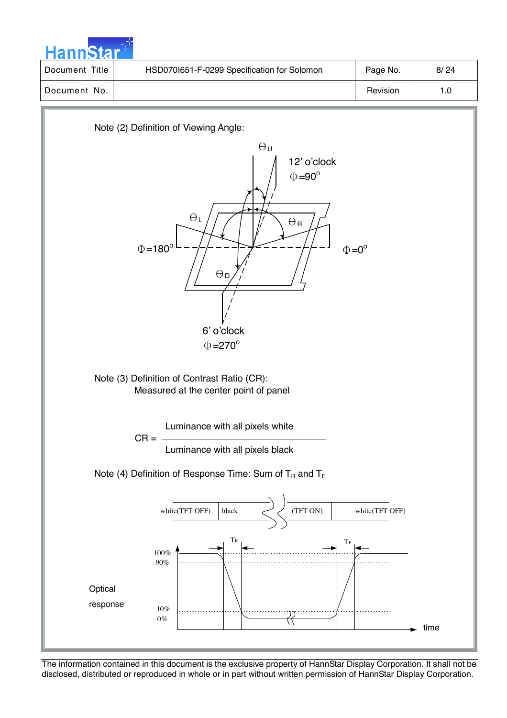|  | <b>HannStar</b> |  |
|--|-----------------|--|

| I Document Title | HSD0701651-F-0299 Specification for Solomon | Page No. | 8/24 |
|------------------|---------------------------------------------|----------|------|
| l Document No.   |                                             | Revision | 1.0  |

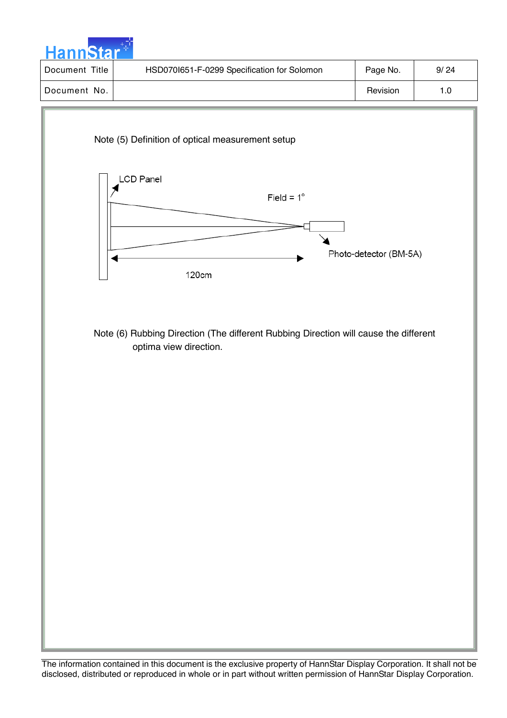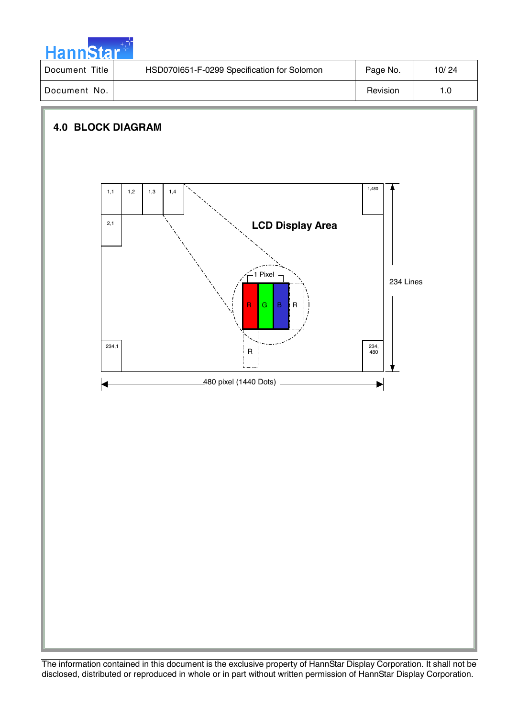

| Document Title | HSD0701651-F-0299 Specification for Solomon | Page No. | 10/24 |
|----------------|---------------------------------------------|----------|-------|
| Document No.   |                                             | Revision | 1.0   |

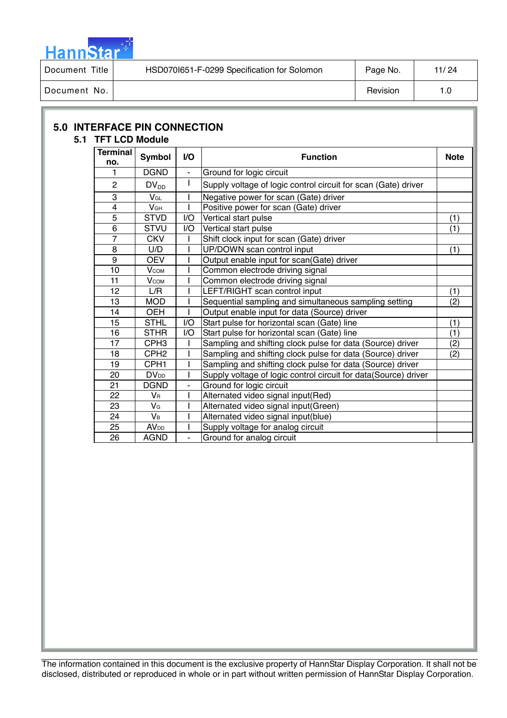

| Document Title | HSD0701651-F-0299 Specification for Solomon | Page No. | 11/24 |
|----------------|---------------------------------------------|----------|-------|
| Document No.   |                                             | Revision | ס.י   |

|  | <b>5.0 INTERFACE PIN CONNECTION</b> |
|--|-------------------------------------|
|--|-------------------------------------|

## **5.1 TFT LCD Module**

| <b>Terminal</b><br>no. | <b>Symbol</b>           | V <sub>O</sub> | <b>Function</b>                                                 |     |
|------------------------|-------------------------|----------------|-----------------------------------------------------------------|-----|
| 1                      | <b>DGND</b>             | $\frac{1}{2}$  | Ground for logic circuit                                        |     |
| $\overline{c}$         | $DV_{DD}$               | I              | Supply voltage of logic control circuit for scan (Gate) driver  |     |
| 3                      | $V_{GL}$                |                | Negative power for scan (Gate) driver                           |     |
| 4                      | V <sub>GH</sub>         |                | Positive power for scan (Gate) driver                           |     |
| $\overline{5}$         | <b>STVD</b>             | I/O            | Vertical start pulse                                            | (1) |
| 6                      | <b>STVU</b>             | I/O            | Vertical start pulse                                            | (1) |
| $\overline{7}$         | <b>CKV</b>              |                | Shift clock input for scan (Gate) driver                        |     |
| 8                      | U/D                     |                | UP/DOWN scan control input                                      | (1) |
| 9                      | <b>OEV</b>              |                | Output enable input for scan(Gate) driver                       |     |
| 10                     | $V_{COM}$               |                | Common electrode driving signal                                 |     |
| 11                     | $V_{COM}$               |                | Common electrode driving signal                                 |     |
| 12                     | L/R                     |                | LEFT/RIGHT scan control input                                   | (1) |
| 13                     | <b>MOD</b>              |                | Sequential sampling and simultaneous sampling setting           | (2) |
| 14                     | <b>OEH</b>              |                | Output enable input for data (Source) driver                    |     |
| 15                     | <b>STHL</b>             | I/O            | Start pulse for horizontal scan (Gate) line                     | (1) |
| 16                     | <b>STHR</b>             | I/O            | Start pulse for horizontal scan (Gate) line                     | (1) |
| 17                     | CPH <sub>3</sub>        |                | Sampling and shifting clock pulse for data (Source) driver      | (2) |
| 18                     | CPH <sub>2</sub>        |                | Sampling and shifting clock pulse for data (Source) driver      | (2) |
| 19                     | CPH <sub>1</sub>        |                | Sampling and shifting clock pulse for data (Source) driver      |     |
| 20                     | <b>DV</b> <sub>DD</sub> |                | Supply voltage of logic control circuit for data(Source) driver |     |
| 21                     | <b>DGND</b>             | $\blacksquare$ | Ground for logic circuit                                        |     |
| 22                     | V <sub>R</sub>          |                | Alternated video signal input(Red)                              |     |
| 23                     | VG                      |                | Alternated video signal input(Green)                            |     |
| 24                     | <b>V</b> в              |                | Alternated video signal input(blue)                             |     |
| 25                     | <b>AV</b> <sub>DD</sub> |                | Supply voltage for analog circuit                               |     |
| 26                     | <b>AGND</b>             | ÷,             | Ground for analog circuit                                       |     |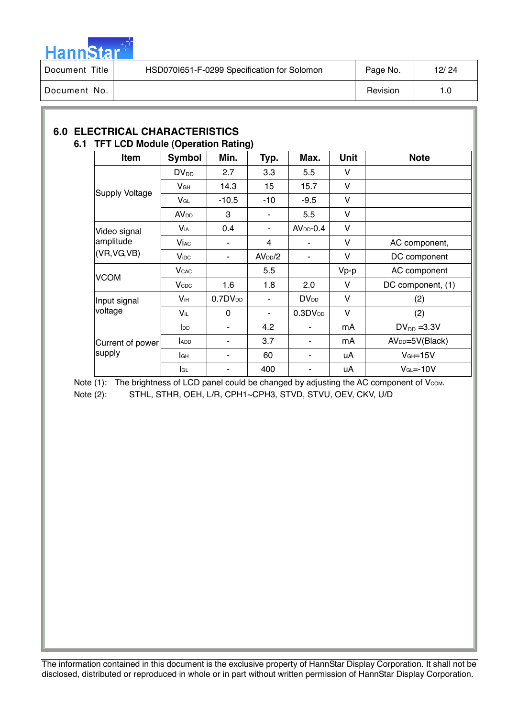

| Title<br>Document 1 | HSD0701651-F-0299 Specification for Solomon | Page No. | 12/24 |
|---------------------|---------------------------------------------|----------|-------|
| Document No.        |                                             | Revision | l.O   |

## **6.0 ELECTRICAL CHARACTERISTICS 6.1 TFT LCD Module (Operation Rating)**

| Item                      | <b>Symbol</b>           | Min.         | Typ.                | Max.                   | Unit   | <b>Note</b>                 |
|---------------------------|-------------------------|--------------|---------------------|------------------------|--------|-----------------------------|
|                           | $DV_{DD}$               | 2.7          | 3.3                 | 5.5                    | V      |                             |
| <b>Supply Voltage</b>     | V <sub>GH</sub>         | 14.3         | 15                  | 15.7                   | $\vee$ |                             |
|                           | $V_{GL}$                | $-10.5$      | -10                 | $-9.5$                 | V      |                             |
|                           | <b>AV</b> <sub>DD</sub> | 3            | ٠                   | 5.5                    | V      |                             |
| Video signal              | V <sub>iA</sub>         | 0.4          | ٠                   | $AVDD-0.4$             | $\vee$ |                             |
| amplitude<br>(VR, VG, VB) | <b>Vi</b> ac            |              | 4                   |                        | V      | AC component,               |
|                           | <b>V</b> <sub>iDC</sub> |              | AV <sub>DD</sub> /2 |                        | V      | DC component                |
|                           | <b>V</b> <sub>CAC</sub> |              | 5.5                 |                        | Vp-p   | AC component                |
| <b>VCOM</b>               | <b>V</b> <sub>CDC</sub> | 1.6          | 1.8                 | 2.0                    | $\vee$ | DC component, (1)           |
| Input signal              | V <sub>iH</sub>         | $0.7DV_{DD}$ | ۰                   | <b>DV<sub>DD</sub></b> | $\vee$ | (2)                         |
| voltage                   | $V_{iL}$                | 0            | ۰                   | 0.3DV <sub>DD</sub>    | $\vee$ | (2)                         |
|                           | $I_{DD}$                | -            | 4.2                 |                        | mA     | $DV_{DD} = 3.3V$            |
| Current of power          | ADD                     | -            | 3.7                 | ۰                      | mA     | AV <sub>DD</sub> =5V(Black) |
| supply                    | lсн                     | -            | 60                  |                        | uA     | $VGH=15V$                   |
|                           | <b>I</b> GL             |              | 400                 |                        | uA     | $VGL=-10V$                  |

Note  $(1)$ : The brightness of LCD panel could be changed by adjusting the AC component of V $_{COM}$ . Note (2): STHL, STHR, OEH, L/R, CPH1~CPH3, STVD, STVU, OEV, CKV, U/D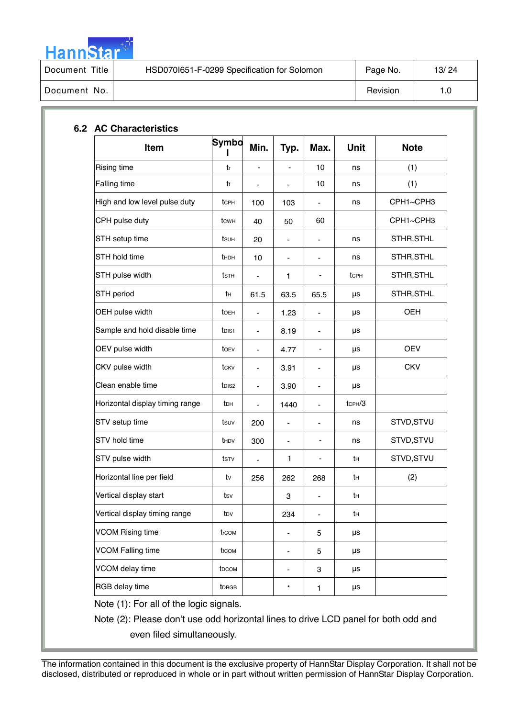

| Document Title | HSD0701651-F-0299 Specification for Solomon | Page No. | 13/24 |
|----------------|---------------------------------------------|----------|-------|
| Document No.   |                                             | Revision |       |

| Item                            | Symbo             | Min.                         | Typ.                         | Max.                         | Unit         | <b>Note</b> |
|---------------------------------|-------------------|------------------------------|------------------------------|------------------------------|--------------|-------------|
| Rising time                     | $t_{\rm r}$       |                              |                              | 10                           | ns           | (1)         |
| Falling time                    | tr                | -                            | $\overline{\phantom{0}}$     | 10                           | ns           | (1)         |
| High and low level pulse duty   | tcph              | 100                          | 103                          | $\overline{\phantom{a}}$     | ns           | CPH1~CPH3   |
| CPH pulse duty                  | tcwh              | 40                           | 50                           | 60                           |              | CPH1~CPH3   |
| STH setup time                  | tsuh              | 20                           |                              | $\qquad \qquad \blacksquare$ | ns           | STHR, STHL  |
| STH hold time                   | <b>t</b> HDH      | 10                           | $\qquad \qquad \blacksquare$ | $\overline{\phantom{a}}$     | ns           | STHR, STHL  |
| STH pulse width                 | tsth              | $\overline{\phantom{0}}$     | 1                            | -                            | tcph         | STHR, STHL  |
| STH period                      | tн                | 61.5                         | 63.5                         | 65.5                         | μs           | STHR, STHL  |
| OEH pulse width                 | toeh              | $\blacksquare$               | 1.23                         | $\qquad \qquad \blacksquare$ | μs           | OEH         |
| Sample and hold disable time    | t <sub>DIS1</sub> |                              | 8.19                         |                              | μs           |             |
| OEV pulse width                 | toev              | $\qquad \qquad \blacksquare$ | 4.77                         | -                            | μs           | <b>OEV</b>  |
| CKV pulse width                 | tcky              | $\blacksquare$               | 3.91                         | $\overline{\phantom{a}}$     | μs           | <b>CKV</b>  |
| Clean enable time               | t <sub>DIS2</sub> | ÷,                           | 3.90                         | $\overline{\phantom{a}}$     | μs           |             |
| Horizontal display timing range | tрн               | $\qquad \qquad \blacksquare$ | 1440                         | $\qquad \qquad \blacksquare$ | $t$ CPH $/3$ |             |
| STV setup time                  | tsuv              | 200                          |                              |                              | ns           | STVD, STVU  |
| STV hold time                   | <b>t</b> HDV      | 300                          | $\blacksquare$               | -                            | ns           | STVD, STVU  |
| STV pulse width                 | tstv              | $\overline{\phantom{0}}$     | 1                            |                              | tн           | STVD, STVU  |
| Horizontal line per field       | tv                | 256                          | 262                          | 268                          | tн           | (2)         |
| Vertical display start          | tsv               |                              | 3                            |                              | tн           |             |
| Vertical display timing range   | t <sub>DV</sub>   |                              | 234                          | $\overline{\phantom{a}}$     | tн           |             |
| <b>VCOM Rising time</b>         | trcom             |                              | -                            | 5                            | μs           |             |
| <b>VCOM Falling time</b>        | trcom             |                              | -                            | 5                            | μs           |             |
| VCOM delay time                 | t <sub>DCOM</sub> |                              | -                            | 3                            | μs           |             |
| RGB delay time                  | <b>t</b> DRGB     |                              | $\star$                      | 1                            | μs           |             |
|                                 |                   |                              |                              |                              |              |             |

## **6.2 AC Characteristi**

Note (1): For all of the logic signals.

Note (2): Please don't use odd horizontal lines to drive LCD panel for both odd and even filed simultaneously.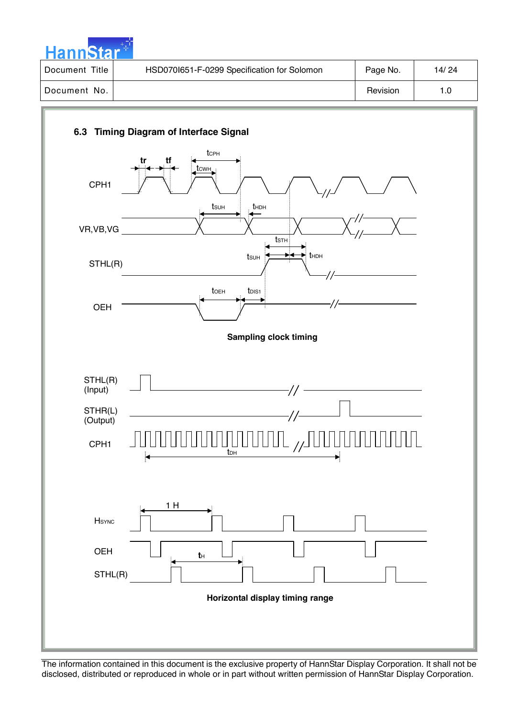

| Document Title | HSD0701651-F-0299 Specification for Solomon | Page No. | 14/24 |
|----------------|---------------------------------------------|----------|-------|
| Document No.   |                                             | Revision | 1.0   |

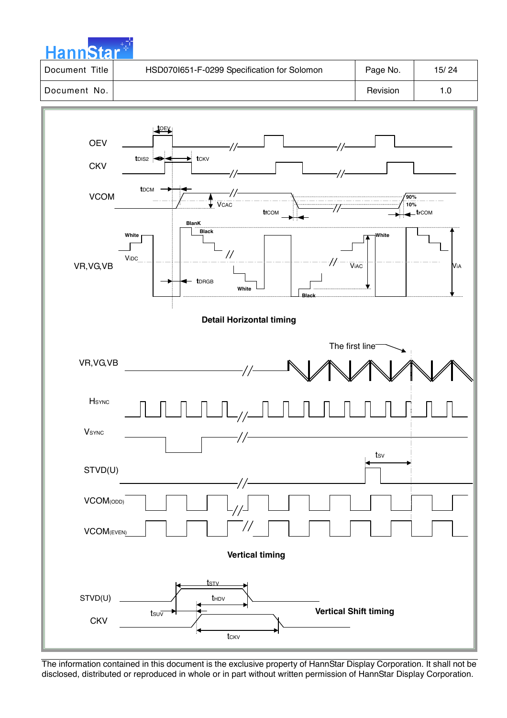| <b>HannStar</b> |                                             |          |       |
|-----------------|---------------------------------------------|----------|-------|
| Document Title  | HSD070I651-F-0299 Specification for Solomon | Page No. | 15/24 |
| Document No.    |                                             | Revision | 1.0   |

a na sala

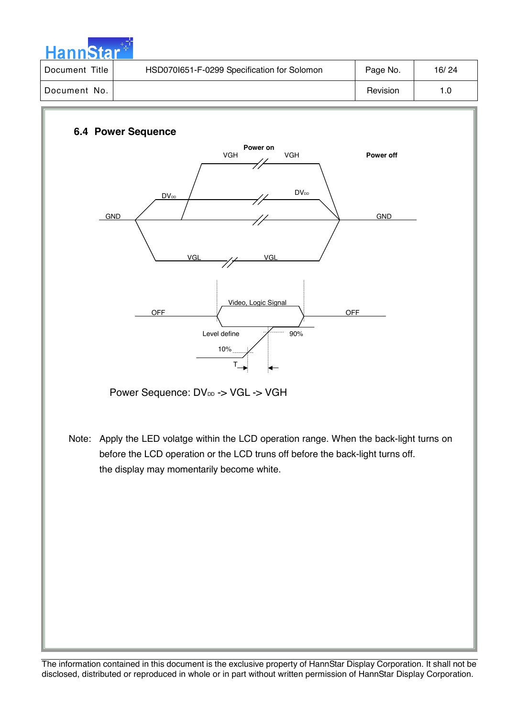

| Title<br>Document | HSD0701651-F-0299 Specification for Solomon | Page No. | 16/24 |
|-------------------|---------------------------------------------|----------|-------|
| Document No.      |                                             | Revision |       |

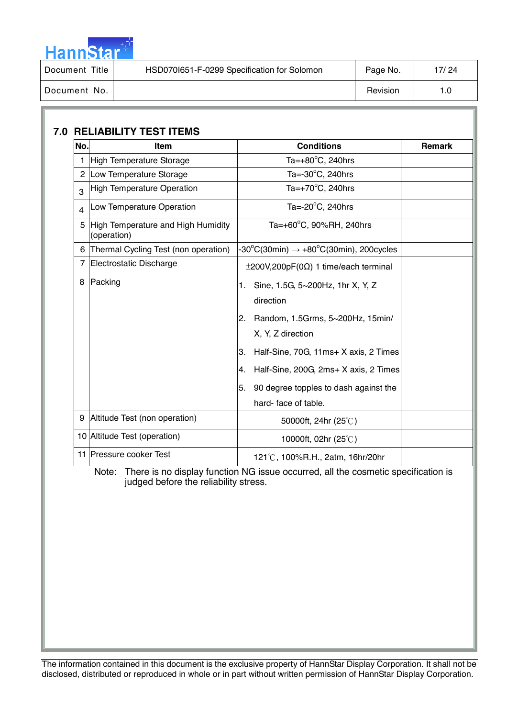

| Title<br>Document | HSD0701651-F-0299 Specification for Solomon | Page No. | 17/24 |
|-------------------|---------------------------------------------|----------|-------|
| Document No.      |                                             | Revision | 1.0   |

| No. | Item                                              | Remark                                                                                                                                                                                                                                                                              |  |
|-----|---------------------------------------------------|-------------------------------------------------------------------------------------------------------------------------------------------------------------------------------------------------------------------------------------------------------------------------------------|--|
|     | 1 High Temperature Storage                        | Ta= $+80^{\circ}$ C, 240hrs                                                                                                                                                                                                                                                         |  |
|     | 2 Low Temperature Storage                         | Ta=-30°C, 240hrs                                                                                                                                                                                                                                                                    |  |
| 3   | High Temperature Operation                        | Ta= $+70^{\circ}$ C, 240hrs                                                                                                                                                                                                                                                         |  |
| 4   | Low Temperature Operation                         | Ta= $-20^{\circ}$ C, 240hrs                                                                                                                                                                                                                                                         |  |
| 5   | High Temperature and High Humidity<br>(operation) | Ta=+60°C, 90%RH, 240hrs                                                                                                                                                                                                                                                             |  |
|     | 6 Thermal Cycling Test (non operation)            | $-30^{\circ}$ C(30min) $\rightarrow +80^{\circ}$ C(30min), 200cycles                                                                                                                                                                                                                |  |
|     | 7 Electrostatic Discharge                         | $\pm 200V, 200pF(0\Omega)$ 1 time/each terminal                                                                                                                                                                                                                                     |  |
|     | 8 Packing                                         | Sine, 1.5G, 5~200Hz, 1hr X, Y, Z<br>1.<br>direction<br>2. Random, 1.5Grms, 5~200Hz, 15min/<br>X, Y, Z direction<br>Half-Sine, 70G, 11ms+ X axis, 2 Times<br>3.<br>Half-Sine, 200G, 2ms+ X axis, 2 Times<br>4.<br>90 degree topples to dash against the<br>5.<br>hard-face of table. |  |
|     | 9 Altitude Test (non operation)                   | 50000ft, 24hr (25°C)                                                                                                                                                                                                                                                                |  |
|     | 10 Altitude Test (operation)                      | 10000ft, 02hr (25°C)                                                                                                                                                                                                                                                                |  |
|     | 11 Pressure cooker Test                           | 121°C, 100%R.H., 2atm, 16hr/20hr                                                                                                                                                                                                                                                    |  |
|     |                                                   |                                                                                                                                                                                                                                                                                     |  |

 Note: There is no display function NG issue occurred, all the cosmetic specification is judged before the reliability stress.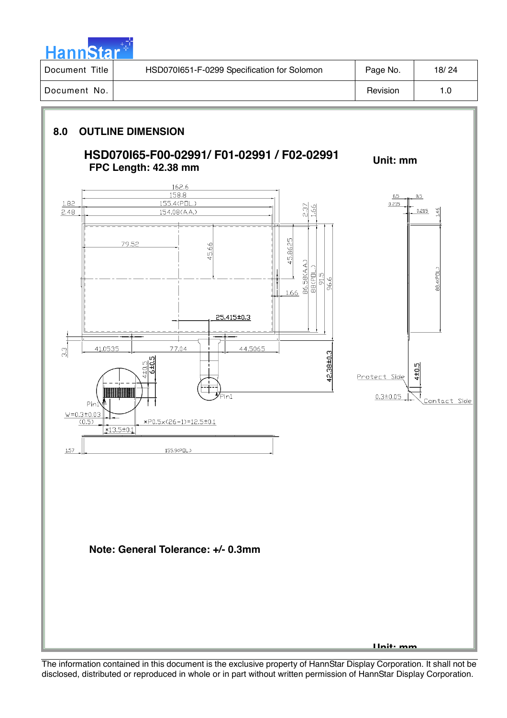| <b>Hannstal</b> |  |
|-----------------|--|
|                 |  |

| Title<br>Document | HSD0701651-F-0299 Specification for Solomon | Page No. | 18/24 |
|-------------------|---------------------------------------------|----------|-------|
| Document No.      |                                             | Revision | 1.0   |

## **8.0 OUTLINE DIMENSION**

## **HSD070I65-F00-02991/ F01-02991 / F02-02991 FPC Length: 42.38 mm**

**Unit: mm** 

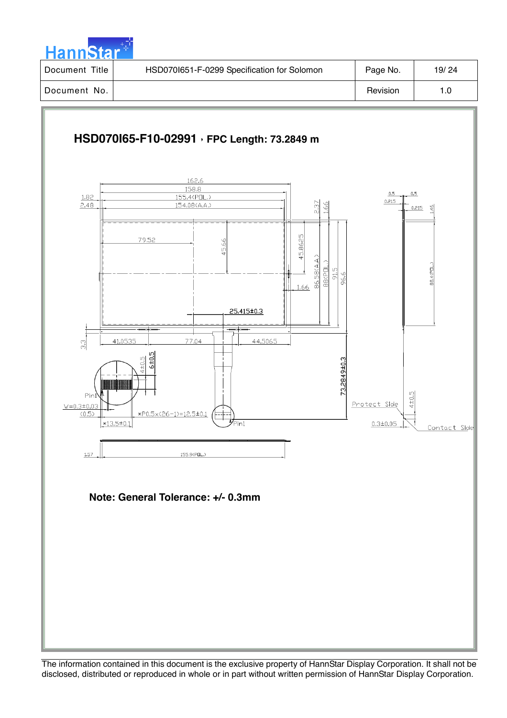

| Title<br>l Document | HSD0701651-F-0299 Specification for Solomon | Page No. | 19/24 |
|---------------------|---------------------------------------------|----------|-------|
| l Document No.      |                                             | Revision | 1.0   |

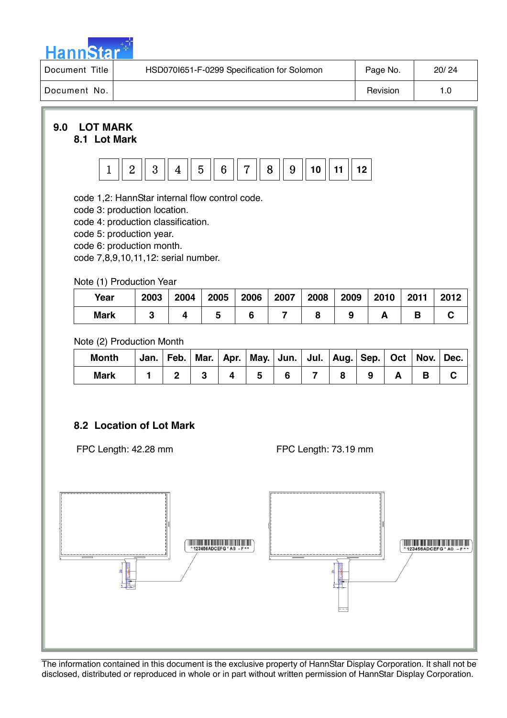

| Title<br>Document | HSD070I651-F-0299 Specification for Solomon | Page No. | 20/24 |
|-------------------|---------------------------------------------|----------|-------|
| Document No.      |                                             | Revision | '.0   |

### **9.0 LOT MARK 8.1 Lot Mark**



code 1,2: HannStar internal flow control code.

code 3: production location.

code 4: production classification.

code 5: production year.

code 6: production month.

code 7,8,9,10,11,12: serial number.

#### Note (1) Production Year

| Year        | 2003 | 2004 | 2005 | 2006 | 2007 | 2008 | 2009 | 2010 | 2011 | 2012 |
|-------------|------|------|------|------|------|------|------|------|------|------|
| <b>Mark</b> |      |      |      |      |      |      |      |      |      |      |

Note (2) Production Month

| <b>Month</b> | Jan. | $ $ Feb. |  |  |  |  |  |
|--------------|------|----------|--|--|--|--|--|
| <b>Mark</b>  |      |          |  |  |  |  |  |

## **8.2 Location of Lot Mark**

FPC Length: 42.28 mm

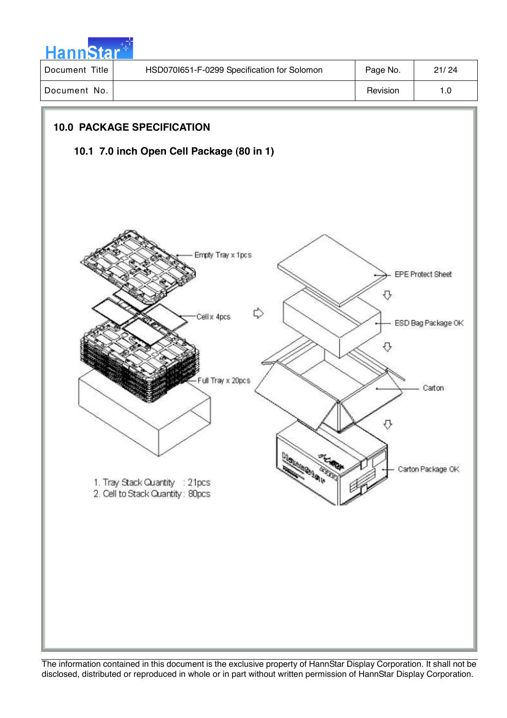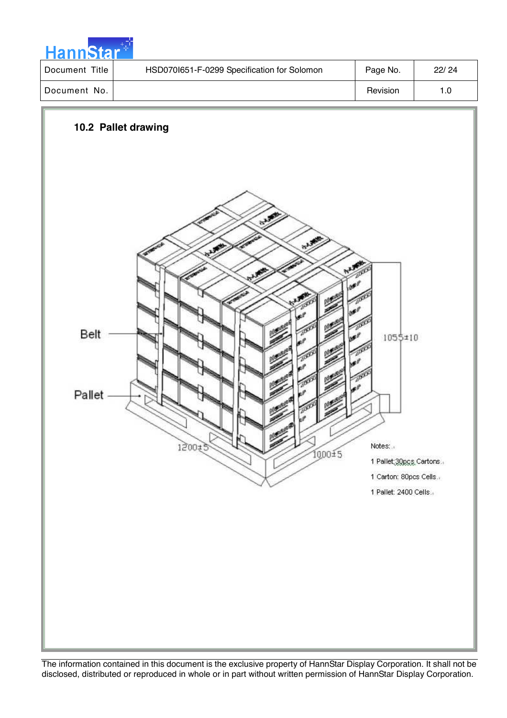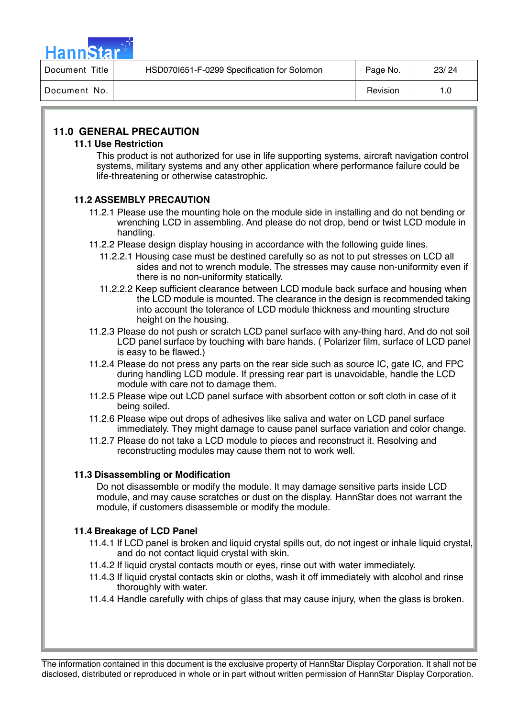

| Title<br>Document 1 | HSD0701651-F-0299 Specification for Solomon | Page No. | 23/24 |
|---------------------|---------------------------------------------|----------|-------|
| Document No.        |                                             | Revision | 1.0   |

## **11.0 GENERAL PRECAUTION**

#### **11.1 Use Restriction**

This product is not authorized for use in life supporting systems, aircraft navigation control systems, military systems and any other application where performance failure could be life-threatening or otherwise catastrophic.

### **11.2 ASSEMBLY PRECAUTION**

- 11.2.1 Please use the mounting hole on the module side in installing and do not bending or wrenching LCD in assembling. And please do not drop, bend or twist LCD module in handling.
- 11.2.2 Please design display housing in accordance with the following guide lines.
	- 11.2.2.1 Housing case must be destined carefully so as not to put stresses on LCD all sides and not to wrench module. The stresses may cause non-uniformity even if there is no non-uniformity statically.
	- 11.2.2.2 Keep sufficient clearance between LCD module back surface and housing when the LCD module is mounted. The clearance in the design is recommended taking into account the tolerance of LCD module thickness and mounting structure height on the housing.
- 11.2.3 Please do not push or scratch LCD panel surface with any-thing hard. And do not soil LCD panel surface by touching with bare hands. ( Polarizer film, surface of LCD panel is easy to be flawed.)
- 11.2.4 Please do not press any parts on the rear side such as source IC, gate IC, and FPC during handling LCD module. If pressing rear part is unavoidable, handle the LCD module with care not to damage them.
- 11.2.5 Please wipe out LCD panel surface with absorbent cotton or soft cloth in case of it being soiled.
- 11.2.6 Please wipe out drops of adhesives like saliva and water on LCD panel surface immediately. They might damage to cause panel surface variation and color change.
- 11.2.7 Please do not take a LCD module to pieces and reconstruct it. Resolving and reconstructing modules may cause them not to work well.

### **11.3 Disassembling or Modification**

Do not disassemble or modify the module. It may damage sensitive parts inside LCD module, and may cause scratches or dust on the display. HannStar does not warrant the module, if customers disassemble or modify the module.

### **11.4 Breakage of LCD Panel**

- 11.4.1 If LCD panel is broken and liquid crystal spills out, do not ingest or inhale liquid crystal, and do not contact liquid crystal with skin.
- 11.4.2 If liquid crystal contacts mouth or eyes, rinse out with water immediately.
- 11.4.3 If liquid crystal contacts skin or cloths, wash it off immediately with alcohol and rinse thoroughly with water.
- 11.4.4 Handle carefully with chips of glass that may cause injury, when the glass is broken.